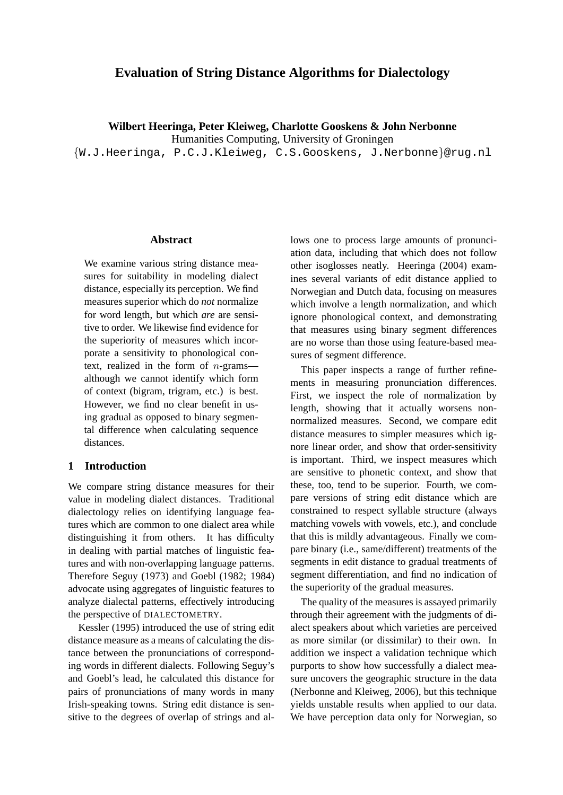# **Evaluation of String Distance Algorithms for Dialectology**

**Wilbert Heeringa, Peter Kleiweg, Charlotte Gooskens & John Nerbonne**

Humanities Computing, University of Groningen

{W.J.Heeringa, P.C.J.Kleiweg, C.S.Gooskens, J.Nerbonne}@rug.nl

#### **Abstract**

We examine various string distance measures for suitability in modeling dialect distance, especially its perception. We find measures superior which do *not* normalize for word length, but which *are* are sensitive to order. We likewise find evidence for the superiority of measures which incorporate a sensitivity to phonological context, realized in the form of n-grams although we cannot identify which form of context (bigram, trigram, etc.) is best. However, we find no clear benefit in using gradual as opposed to binary segmental difference when calculating sequence distances.

### **1 Introduction**

We compare string distance measures for their value in modeling dialect distances. Traditional dialectology relies on identifying language features which are common to one dialect area while distinguishing it from others. It has difficulty in dealing with partial matches of linguistic features and with non-overlapping language patterns. Therefore Seguy (1973) and Goebl (1982; 1984) advocate using aggregates of linguistic features to analyze dialectal patterns, effectively introducing the perspective of DIALECTOMETRY.

Kessler (1995) introduced the use of string edit distance measure as a means of calculating the distance between the pronunciations of corresponding words in different dialects. Following Seguy's and Goebl's lead, he calculated this distance for pairs of pronunciations of many words in many Irish-speaking towns. String edit distance is sensitive to the degrees of overlap of strings and allows one to process large amounts of pronunciation data, including that which does not follow other isoglosses neatly. Heeringa (2004) examines several variants of edit distance applied to Norwegian and Dutch data, focusing on measures which involve a length normalization, and which ignore phonological context, and demonstrating that measures using binary segment differences are no worse than those using feature-based measures of segment difference.

This paper inspects a range of further refinements in measuring pronunciation differences. First, we inspect the role of normalization by length, showing that it actually worsens nonnormalized measures. Second, we compare edit distance measures to simpler measures which ignore linear order, and show that order-sensitivity is important. Third, we inspect measures which are sensitive to phonetic context, and show that these, too, tend to be superior. Fourth, we compare versions of string edit distance which are constrained to respect syllable structure (always matching vowels with vowels, etc.), and conclude that this is mildly advantageous. Finally we compare binary (i.e., same/different) treatments of the segments in edit distance to gradual treatments of segment differentiation, and find no indication of the superiority of the gradual measures.

The quality of the measures is assayed primarily through their agreement with the judgments of dialect speakers about which varieties are perceived as more similar (or dissimilar) to their own. In addition we inspect a validation technique which purports to show how successfully a dialect measure uncovers the geographic structure in the data (Nerbonne and Kleiweg, 2006), but this technique yields unstable results when applied to our data. We have perception data only for Norwegian, so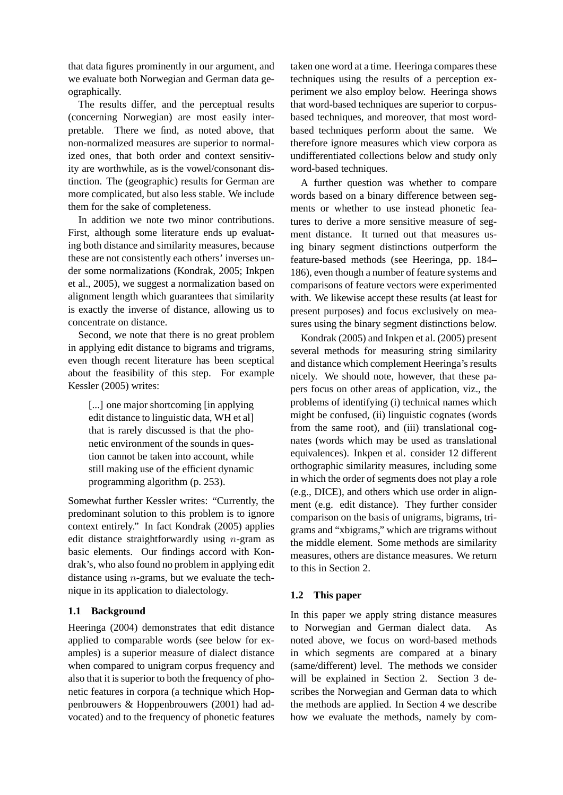that data figures prominently in our argument, and we evaluate both Norwegian and German data geographically.

The results differ, and the perceptual results (concerning Norwegian) are most easily interpretable. There we find, as noted above, that non-normalized measures are superior to normalized ones, that both order and context sensitivity are worthwhile, as is the vowel/consonant distinction. The (geographic) results for German are more complicated, but also less stable. We include them for the sake of completeness.

In addition we note two minor contributions. First, although some literature ends up evaluating both distance and similarity measures, because these are not consistently each others' inverses under some normalizations (Kondrak, 2005; Inkpen et al., 2005), we suggest a normalization based on alignment length which guarantees that similarity is exactly the inverse of distance, allowing us to concentrate on distance.

Second, we note that there is no great problem in applying edit distance to bigrams and trigrams, even though recent literature has been sceptical about the feasibility of this step. For example Kessler (2005) writes:

[...] one major shortcoming [in applying] edit distance to linguistic data, WH et al] that is rarely discussed is that the phonetic environment of the sounds in question cannot be taken into account, while still making use of the efficient dynamic programming algorithm (p. 253).

Somewhat further Kessler writes: "Currently, the predominant solution to this problem is to ignore context entirely." In fact Kondrak (2005) applies edit distance straightforwardly using  $n$ -gram as basic elements. Our findings accord with Kondrak's, who also found no problem in applying edit distance using  $n$ -grams, but we evaluate the technique in its application to dialectology.

# **1.1 Background**

Heeringa (2004) demonstrates that edit distance applied to comparable words (see below for examples) is a superior measure of dialect distance when compared to unigram corpus frequency and also that it is superior to both the frequency of phonetic features in corpora (a technique which Hoppenbrouwers & Hoppenbrouwers (2001) had advocated) and to the frequency of phonetic features taken one word at a time. Heeringa compares these techniques using the results of a perception experiment we also employ below. Heeringa shows that word-based techniques are superior to corpusbased techniques, and moreover, that most wordbased techniques perform about the same. We therefore ignore measures which view corpora as undifferentiated collections below and study only word-based techniques.

A further question was whether to compare words based on a binary difference between segments or whether to use instead phonetic features to derive a more sensitive measure of segment distance. It turned out that measures using binary segment distinctions outperform the feature-based methods (see Heeringa, pp. 184– 186), even though a number of feature systems and comparisons of feature vectors were experimented with. We likewise accept these results (at least for present purposes) and focus exclusively on measures using the binary segment distinctions below.

Kondrak (2005) and Inkpen et al. (2005) present several methods for measuring string similarity and distance which complement Heeringa's results nicely. We should note, however, that these papers focus on other areas of application, viz., the problems of identifying (i) technical names which might be confused, (ii) linguistic cognates (words from the same root), and (iii) translational cognates (words which may be used as translational equivalences). Inkpen et al. consider 12 different orthographic similarity measures, including some in which the order of segments does not play a role (e.g., DICE), and others which use order in alignment (e.g. edit distance). They further consider comparison on the basis of unigrams, bigrams, trigrams and "xbigrams," which are trigrams without the middle element. Some methods are similarity measures, others are distance measures. We return to this in Section 2.

# **1.2 This paper**

In this paper we apply string distance measures to Norwegian and German dialect data. noted above, we focus on word-based methods in which segments are compared at a binary (same/different) level. The methods we consider will be explained in Section 2. Section 3 describes the Norwegian and German data to which the methods are applied. In Section 4 we describe how we evaluate the methods, namely by com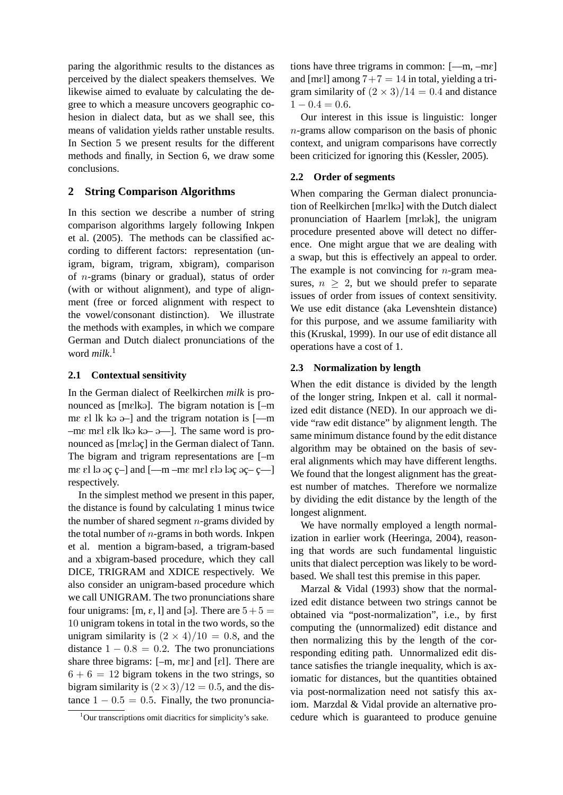paring the algorithmic results to the distances as perceived by the dialect speakers themselves. We likewise aimed to evaluate by calculating the degree to which a measure uncovers geographic cohesion in dialect data, but as we shall see, this means of validation yields rather unstable results. In Section 5 we present results for the different methods and finally, in Section 6, we draw some conclusions.

# **2 String Comparison Algorithms**

In this section we describe a number of string comparison algorithms largely following Inkpen et al. (2005). The methods can be classified according to different factors: representation (unigram, bigram, trigram, xbigram), comparison of n-grams (binary or gradual), status of order (with or without alignment), and type of alignment (free or forced alignment with respect to the vowel/consonant distinction). We illustrate the methods with examples, in which we compare German and Dutch dialect pronunciations of the word *milk*. 1

### **2.1 Contextual sensitivity**

In the German dialect of Reelkirchen *milk* is pronounced as [mɛlkə]. The bigram notation is  $[-m]$ me el lk kə ə- $\vert$  and the trigram notation is  $\vert$ —m  $-m\epsilon$  mel elk lka ka  $-\epsilon$  - and  $\epsilon$  . The same word is pronounced as  $[me]$  in the German dialect of Tann. The bigram and trigram representations are [–m me el la  $a \in \{-\infty, -\}$  and  $[-\infty, -\infty]$  me mel ela la $c \in \{-\infty, -\}$ respectively.

In the simplest method we present in this paper, the distance is found by calculating 1 minus twice the number of shared segment  $n$ -grams divided by the total number of  $n$ -grams in both words. Inkpen et al. mention a bigram-based, a trigram-based and a xbigram-based procedure, which they call DICE, TRIGRAM and XDICE respectively. We also consider an unigram-based procedure which we call UNIGRAM. The two pronunciations share four unigrams:  $[m, \varepsilon, 1]$  and  $[\circ]$ . There are  $5 + 5 =$ 10 unigram tokens in total in the two words, so the unigram similarity is  $(2 \times 4)/10 = 0.8$ , and the distance  $1 - 0.8 = 0.2$ . The two pronunciations share three bigrams:  $[-m, mc]$  and  $[\varepsilon]$ . There are  $6 + 6 = 12$  bigram tokens in the two strings, so bigram similarity is  $(2 \times 3)/12 = 0.5$ , and the distance  $1 - 0.5 = 0.5$ . Finally, the two pronunciations have three trigrams in common:  $[-m, -m\varepsilon]$ and [mel] among  $7+7 = 14$  in total, yielding a trigram similarity of  $(2 \times 3)/14 = 0.4$  and distance  $1 - 0.4 = 0.6$ .

Our interest in this issue is linguistic: longer n-grams allow comparison on the basis of phonic context, and unigram comparisons have correctly been criticized for ignoring this (Kessler, 2005).

#### **2.2 Order of segments**

When comparing the German dialect pronunciation of Reelkirchen [mɛlkə] with the Dutch dialect pronunciation of Haarlem [mɛlək], the unigram procedure presented above will detect no difference. One might argue that we are dealing with a swap, but this is effectively an appeal to order. The example is not convincing for  $n$ -gram measures,  $n \geq 2$ , but we should prefer to separate issues of order from issues of context sensitivity. We use edit distance (aka Levenshtein distance) for this purpose, and we assume familiarity with this (Kruskal, 1999). In our use of edit distance all operations have a cost of 1.

### **2.3 Normalization by length**

When the edit distance is divided by the length of the longer string, Inkpen et al. call it normalized edit distance (NED). In our approach we divide "raw edit distance" by alignment length. The same minimum distance found by the edit distance algorithm may be obtained on the basis of several alignments which may have different lengths. We found that the longest alignment has the greatest number of matches. Therefore we normalize by dividing the edit distance by the length of the longest alignment.

We have normally employed a length normalization in earlier work (Heeringa, 2004), reasoning that words are such fundamental linguistic units that dialect perception was likely to be wordbased. We shall test this premise in this paper.

Marzal & Vidal (1993) show that the normalized edit distance between two strings cannot be obtained via "post-normalization", i.e., by first computing the (unnormalized) edit distance and then normalizing this by the length of the corresponding editing path. Unnormalized edit distance satisfies the triangle inequality, which is axiomatic for distances, but the quantities obtained via post-normalization need not satisfy this axiom. Marzdal & Vidal provide an alternative procedure which is guaranteed to produce genuine

<sup>&</sup>lt;sup>1</sup>Our transcriptions omit diacritics for simplicity's sake.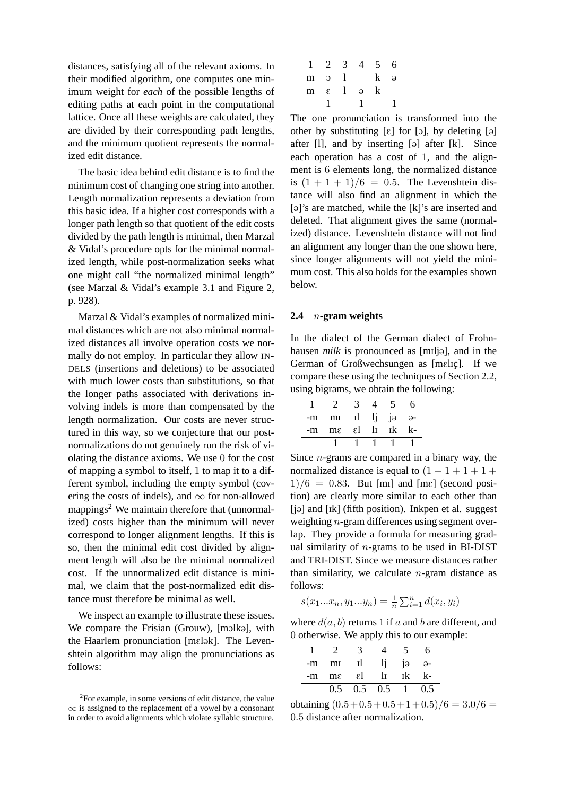distances, satisfying all of the relevant axioms. In their modified algorithm, one computes one minimum weight for *each* of the possible lengths of editing paths at each point in the computational lattice. Once all these weights are calculated, they are divided by their corresponding path lengths, and the minimum quotient represents the normalized edit distance.

The basic idea behind edit distance is to find the minimum cost of changing one string into another. Length normalization represents a deviation from this basic idea. If a higher cost corresponds with a longer path length so that quotient of the edit costs divided by the path length is minimal, then Marzal & Vidal's procedure opts for the minimal normalized length, while post-normalization seeks what one might call "the normalized minimal length" (see Marzal & Vidal's example 3.1 and Figure 2, p. 928).

Marzal & Vidal's examples of normalized minimal distances which are not also minimal normalized distances all involve operation costs we normally do not employ. In particular they allow IN-DELS (insertions and deletions) to be associated with much lower costs than substitutions, so that the longer paths associated with derivations involving indels is more than compensated by the length normalization. Our costs are never structured in this way, so we conjecture that our postnormalizations do not genuinely run the risk of violating the distance axioms. We use 0 for the cost of mapping a symbol to itself, 1 to map it to a different symbol, including the empty symbol (covering the costs of indels), and  $\infty$  for non-allowed mappings<sup>2</sup> We maintain therefore that (unnormalized) costs higher than the minimum will never correspond to longer alignment lengths. If this is so, then the minimal edit cost divided by alignment length will also be the minimal normalized cost. If the unnormalized edit distance is minimal, we claim that the post-normalized edit distance must therefore be minimal as well.

We inspect an example to illustrate these issues. We compare the Frisian (Grouw), [molka], with the Haarlem pronunciation [mɛlək]. The Levenshtein algorithm may align the pronunciations as follows:

| $1 \t2 \t3$      | $\overline{4}$ | 5 <sup>5</sup> | h,       |
|------------------|----------------|----------------|----------|
| $m \alpha$       |                | k              | $\Theta$ |
| $m \epsilon$ l a |                |                |          |
|                  |                |                |          |

The one pronunciation is transformed into the other by substituting  $[\varepsilon]$  for  $[\infty]$ , by deleting  $[\infty]$ after  $[1]$ , and by inserting  $[9]$  after  $[k]$ . Since each operation has a cost of 1, and the alignment is 6 elements long, the normalized distance is  $(1 + 1 + 1)/6 = 0.5$ . The Levenshtein distance will also find an alignment in which the [ə]'s are matched, while the [k]'s are inserted and deleted. That alignment gives the same (normalized) distance. Levenshtein distance will not find an alignment any longer than the one shown here, since longer alignments will not yield the minimum cost. This also holds for the examples shown below.

### **2.4** n**-gram weights**

In the dialect of the German dialect of Frohnhausen *milk* is pronounced as [milja], and in the German of Großwechsungen as [mɛlɪç]. If we compare these using the techniques of Section 2.2, using bigrams, we obtain the following:

|    | $\gamma$                   |          |  |  |
|----|----------------------------|----------|--|--|
| -m | $mI$ $Ij$ $j\partial$      |          |  |  |
|    | $-m$ me $\epsilon l$ li ik |          |  |  |
|    |                            | $\sim$ 1 |  |  |

Since  $n$ -grams are compared in a binary way, the normalized distance is equal to  $(1 + 1 + 1 + 1 +$  $1)/6 = 0.83$ . But [mI] and [me] (second position) are clearly more similar to each other than [jə] and [Ik] (fifth position). Inkpen et al. suggest weighting n-gram differences using segment overlap. They provide a formula for measuring gradual similarity of  $n$ -grams to be used in BI-DIST and TRI-DIST. Since we measure distances rather than similarity, we calculate  $n$ -gram distance as follows:

$$
s(x_1...x_n, y_1...y_n) = \frac{1}{n} \sum_{i=1}^n d(x_i, y_i)
$$

where  $d(a, b)$  returns 1 if a and b are different, and 0 otherwise. We apply this to our example:

|  | $\overline{3}$            | $\overline{4}$ | $5^{\circ}$ | 6 |
|--|---------------------------|----------------|-------------|---|
|  | $-m$ m il li ja a-        |                |             |   |
|  | $-m$ me el li ik k-       |                |             |   |
|  | $0.5$ $0.5$ $0.5$ 1 $0.5$ |                |             |   |

obtaining  $(0.5 + 0.5 + 0.5 + 1 + 0.5)/6 = 3.0/6 =$ 0.5 distance after normalization.

<sup>&</sup>lt;sup>2</sup>For example, in some versions of edit distance, the value  $\infty$  is assigned to the replacement of a vowel by a consonant in order to avoid alignments which violate syllabic structure.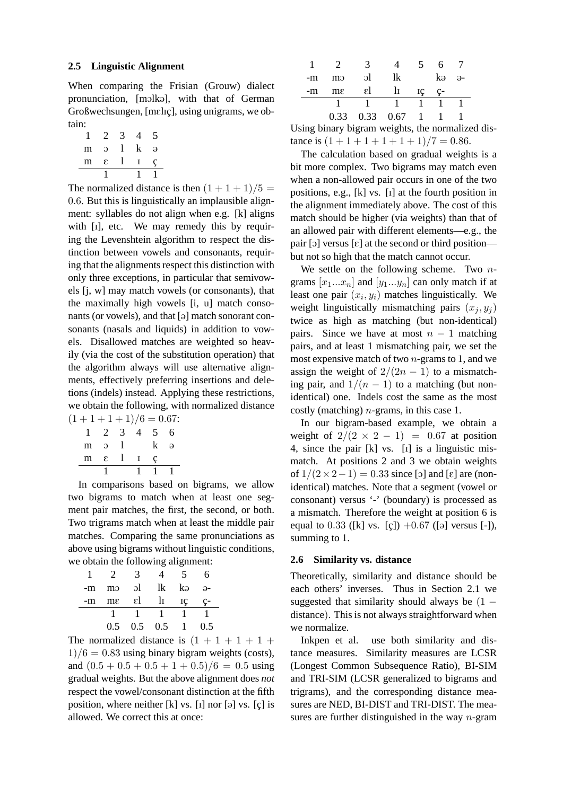#### **2.5 Linguistic Alignment**

When comparing the Frisian (Grouw) dialect pronunciation, [molka], with that of German Großwechsungen, [mɛlɪç], using unigrams, we obtain:

| m | э |  | Э |
|---|---|--|---|
| m | E |  | г |
|   |   |  |   |

The normalized distance is then  $(1 + 1 + 1)/5 =$ 0.6. But this is linguistically an implausible alignment: syllables do not align when e.g. [k] aligns with [1], etc. We may remedy this by requiring the Levenshtein algorithm to respect the distinction between vowels and consonants, requiring that the alignments respect this distinction with only three exceptions, in particular that semivowels [j, w] may match vowels (or consonants), that the maximally high vowels [i, u] match consonants (or vowels), and that  $\lceil \varphi \rceil$  match sonorant consonants (nasals and liquids) in addition to vowels. Disallowed matches are weighted so heavily (via the cost of the substitution operation) that the algorithm always will use alternative alignments, effectively preferring insertions and deletions (indels) instead. Applying these restrictions, we obtain the following, with normalized distance  $(1+1+1+1)/6 = 0.67$ :

|   | 2              | -3 | 4            | 5 | 6 |
|---|----------------|----|--------------|---|---|
| m | $\mathbf{C}$   |    |              |   | ə |
|   | $m \epsilon$ 1 |    | $\mathbf{I}$ | Ċ |   |
|   |                |    | L            | 1 |   |

In comparisons based on bigrams, we allow two bigrams to match when at least one segment pair matches, the first, the second, or both. Two trigrams match when at least the middle pair matches. Comparing the same pronunciations as above using bigrams without linguistic conditions, we obtain the following alignment:

|                | 3            |                     | $\mathcal{D}$ | 6          |
|----------------|--------------|---------------------|---------------|------------|
| -m mo ol lk kə |              |                     |               | <u>ခ</u> - |
| $-m$ $me$      | $\epsilon$ l |                     | $\ln$ $\pi$   | ç-         |
|                |              |                     |               |            |
|                |              | $0.5$ $0.5$ $0.5$ 1 |               | 0.5        |

The normalized distance is  $(1 + 1 + 1 + 1 + 1)$  $1)/6 = 0.83$  using binary bigram weights (costs), and  $(0.5 + 0.5 + 0.5 + 1 + 0.5)/6 = 0.5$  using gradual weights. But the above alignment does *not* respect the vowel/consonant distinction at the fifth position, where neither  $[k]$  vs.  $[i]$  nor  $[\circ]$  vs.  $[\circ]$  is allowed. We correct this at once:

|    | $\frac{1}{2}$  | -3-                |                                      | 5 | 6 7   |  |
|----|----------------|--------------------|--------------------------------------|---|-------|--|
| -m | m              | $\overline{\rm d}$ | lk                                   |   | kə ə- |  |
| -m | $m\varepsilon$ |                    | $\varepsilon$ l II iç ç-             |   |       |  |
|    |                |                    | $1 \quad 1$                          |   |       |  |
|    |                |                    | $0.33 \quad 0.33 \quad 0.67 \quad 1$ |   |       |  |

Using binary bigram weights, the normalized distance is  $(1+1+1+1+1+1)/7 = 0.86$ .

The calculation based on gradual weights is a bit more complex. Two bigrams may match even when a non-allowed pair occurs in one of the two positions, e.g., [k] vs. [I] at the fourth position in the alignment immediately above. The cost of this match should be higher (via weights) than that of an allowed pair with different elements—e.g., the pair [o] versus  $[\varepsilon]$  at the second or third position but not so high that the match cannot occur.

We settle on the following scheme. Two  $n$ grams  $[x_1...x_n]$  and  $[y_1...y_n]$  can only match if at least one pair  $(x_i, y_i)$  matches linguistically. We weight linguistically mismatching pairs  $(x_j, y_j)$ twice as high as matching (but non-identical) pairs. Since we have at most  $n - 1$  matching pairs, and at least 1 mismatching pair, we set the most expensive match of two  $n$ -grams to 1, and we assign the weight of  $2/(2n - 1)$  to a mismatching pair, and  $1/(n - 1)$  to a matching (but nonidentical) one. Indels cost the same as the most costly (matching)  $n$ -grams, in this case 1.

In our bigram-based example, we obtain a weight of  $2/(2 \times 2 - 1) = 0.67$  at position 4, since the pair [k] vs. [I] is a linguistic mismatch. At positions 2 and 3 we obtain weights of  $1/(2 \times 2 - 1) = 0.33$  since [o] and [ε] are (nonidentical) matches. Note that a segment (vowel or consonant) versus '-' (boundary) is processed as a mismatch. Therefore the weight at position 6 is equal to 0.33 ([k] vs. [c])  $+0.67$  ([a] versus [-]), summing to 1.

#### **2.6 Similarity vs. distance**

Theoretically, similarity and distance should be each others' inverses. Thus in Section 2.1 we suggested that similarity should always be  $(1$ distance). This is not always straightforward when we normalize.

Inkpen et al. use both similarity and distance measures. Similarity measures are LCSR (Longest Common Subsequence Ratio), BI-SIM and TRI-SIM (LCSR generalized to bigrams and trigrams), and the corresponding distance measures are NED, BI-DIST and TRI-DIST. The measures are further distinguished in the way  $n$ -gram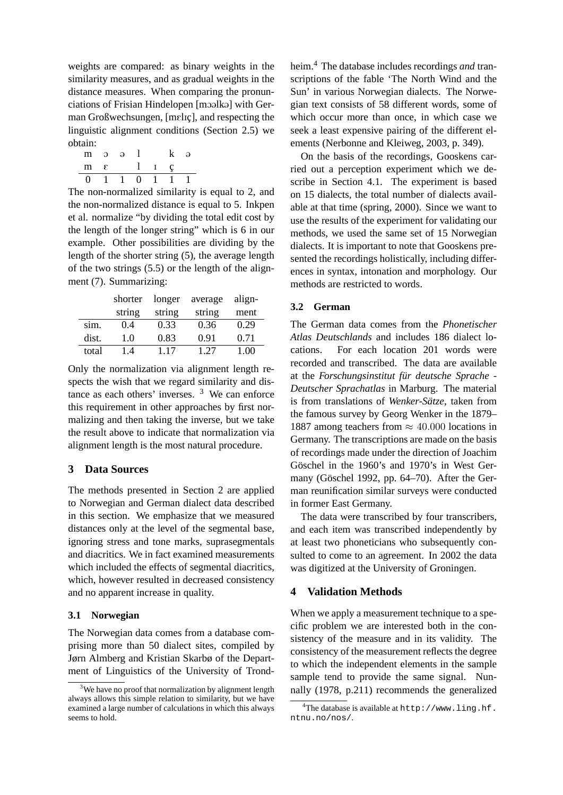weights are compared: as binary weights in the similarity measures, and as gradual weights in the distance measures. When comparing the pronunciations of Frisian Hindelopen [moolko] with German Großwechsungen, [mɛlɪç], and respecting the linguistic alignment conditions (Section 2.5) we obtain:

| m |                       | $\Omega$ $\Omega$ |  | $\Delta$ |
|---|-----------------------|-------------------|--|----------|
|   | $m \tImes$ $l \tImes$ |                   |  |          |
|   | 0 1 1 0 1 1 1         |                   |  |          |

The non-normalized similarity is equal to 2, and the non-normalized distance is equal to 5. Inkpen et al. normalize "by dividing the total edit cost by the length of the longer string" which is 6 in our example. Other possibilities are dividing by the length of the shorter string (5), the average length of the two strings (5.5) or the length of the alignment (7). Summarizing:

|       | shorter | longer | average | align-      |
|-------|---------|--------|---------|-------------|
|       | string  | string | string  | ment        |
| sim.  | 0.4     | 0.33   | 0.36    | 0.29        |
| dist. | 1.0     | 0.83   | 0.91    | 0.71        |
| total | 14      | 117    | 1 27    | <b>T.OO</b> |

Only the normalization via alignment length respects the wish that we regard similarity and distance as each others' inverses.  $3$  We can enforce this requirement in other approaches by first normalizing and then taking the inverse, but we take the result above to indicate that normalization via alignment length is the most natural procedure.

# **3 Data Sources**

The methods presented in Section 2 are applied to Norwegian and German dialect data described in this section. We emphasize that we measured distances only at the level of the segmental base, ignoring stress and tone marks, suprasegmentals and diacritics. We in fact examined measurements which included the effects of segmental diacritics, which, however resulted in decreased consistency and no apparent increase in quality.

# **3.1 Norwegian**

The Norwegian data comes from a database comprising more than 50 dialect sites, compiled by Jørn Almberg and Kristian Skarbø of the Department of Linguistics of the University of Trondheim.<sup>4</sup> The database includes recordings *and* transcriptions of the fable 'The North Wind and the Sun' in various Norwegian dialects. The Norwegian text consists of 58 different words, some of which occur more than once, in which case we seek a least expensive pairing of the different elements (Nerbonne and Kleiweg, 2003, p. 349).

On the basis of the recordings, Gooskens carried out a perception experiment which we describe in Section 4.1. The experiment is based on 15 dialects, the total number of dialects available at that time (spring, 2000). Since we want to use the results of the experiment for validating our methods, we used the same set of 15 Norwegian dialects. It is important to note that Gooskens presented the recordings holistically, including differences in syntax, intonation and morphology. Our methods are restricted to words.

### **3.2 German**

The German data comes from the *Phonetischer Atlas Deutschlands* and includes 186 dialect locations. For each location 201 words were recorded and transcribed. The data are available at the *Forschungsinstitut fur deutsche Sprache - ¨ Deutscher Sprachatlas* in Marburg. The material is from translations of *Wenker-Sätze*, taken from the famous survey by Georg Wenker in the 1879– 1887 among teachers from  $\approx 40.000$  locations in Germany. The transcriptions are made on the basis of recordings made under the direction of Joachim Göschel in the 1960's and 1970's in West Germany (Göschel 1992, pp. 64–70). After the German reunification similar surveys were conducted in former East Germany.

The data were transcribed by four transcribers, and each item was transcribed independently by at least two phoneticians who subsequently consulted to come to an agreement. In 2002 the data was digitized at the University of Groningen.

# **4 Validation Methods**

When we apply a measurement technique to a specific problem we are interested both in the consistency of the measure and in its validity. The consistency of the measurement reflects the degree to which the independent elements in the sample sample tend to provide the same signal. Nunnally (1978, p.211) recommends the generalized

<sup>&</sup>lt;sup>3</sup>We have no proof that normalization by alignment length always allows this simple relation to similarity, but we have examined a large number of calculations in which this always seems to hold.

<sup>&</sup>lt;sup>4</sup>The database is available at  $h$ ttp://www.ling.hf. ntnu.no/nos/.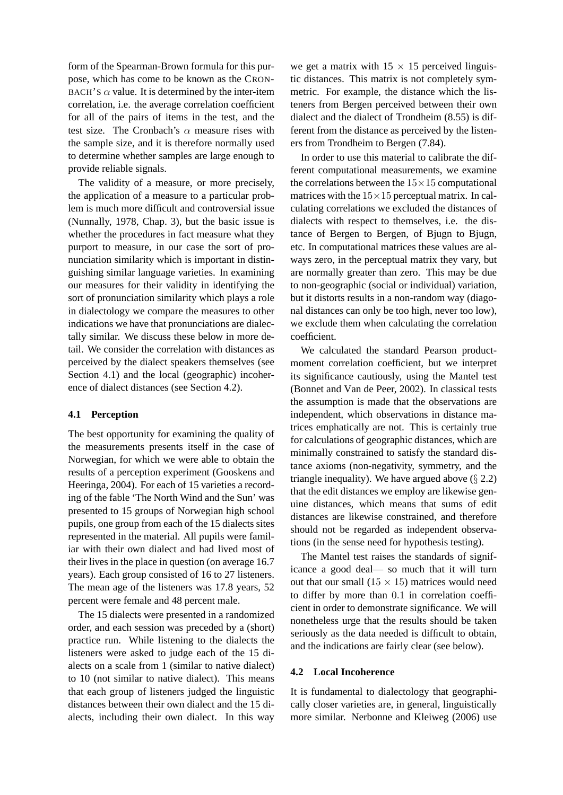form of the Spearman-Brown formula for this purpose, which has come to be known as the CRON-BACH'S  $\alpha$  value. It is determined by the inter-item correlation, i.e. the average correlation coefficient for all of the pairs of items in the test, and the test size. The Cronbach's  $\alpha$  measure rises with the sample size, and it is therefore normally used to determine whether samples are large enough to provide reliable signals.

The validity of a measure, or more precisely, the application of a measure to a particular problem is much more difficult and controversial issue (Nunnally, 1978, Chap. 3), but the basic issue is whether the procedures in fact measure what they purport to measure, in our case the sort of pronunciation similarity which is important in distinguishing similar language varieties. In examining our measures for their validity in identifying the sort of pronunciation similarity which plays a role in dialectology we compare the measures to other indications we have that pronunciations are dialectally similar. We discuss these below in more detail. We consider the correlation with distances as perceived by the dialect speakers themselves (see Section 4.1) and the local (geographic) incoherence of dialect distances (see Section 4.2).

### **4.1 Perception**

The best opportunity for examining the quality of the measurements presents itself in the case of Norwegian, for which we were able to obtain the results of a perception experiment (Gooskens and Heeringa, 2004). For each of 15 varieties a recording of the fable 'The North Wind and the Sun' was presented to 15 groups of Norwegian high school pupils, one group from each of the 15 dialects sites represented in the material. All pupils were familiar with their own dialect and had lived most of their lives in the place in question (on average 16.7 years). Each group consisted of 16 to 27 listeners. The mean age of the listeners was 17.8 years, 52 percent were female and 48 percent male.

The 15 dialects were presented in a randomized order, and each session was preceded by a (short) practice run. While listening to the dialects the listeners were asked to judge each of the 15 dialects on a scale from 1 (similar to native dialect) to 10 (not similar to native dialect). This means that each group of listeners judged the linguistic distances between their own dialect and the 15 dialects, including their own dialect. In this way

we get a matrix with  $15 \times 15$  perceived linguistic distances. This matrix is not completely symmetric. For example, the distance which the listeners from Bergen perceived between their own dialect and the dialect of Trondheim (8.55) is different from the distance as perceived by the listeners from Trondheim to Bergen (7.84).

In order to use this material to calibrate the different computational measurements, we examine the correlations between the  $15 \times 15$  computational matrices with the  $15\times15$  perceptual matrix. In calculating correlations we excluded the distances of dialects with respect to themselves, i.e. the distance of Bergen to Bergen, of Bjugn to Bjugn, etc. In computational matrices these values are always zero, in the perceptual matrix they vary, but are normally greater than zero. This may be due to non-geographic (social or individual) variation, but it distorts results in a non-random way (diagonal distances can only be too high, never too low), we exclude them when calculating the correlation coefficient.

We calculated the standard Pearson productmoment correlation coefficient, but we interpret its significance cautiously, using the Mantel test (Bonnet and Van de Peer, 2002). In classical tests the assumption is made that the observations are independent, which observations in distance matrices emphatically are not. This is certainly true for calculations of geographic distances, which are minimally constrained to satisfy the standard distance axioms (non-negativity, symmetry, and the triangle inequality). We have argued above  $(\S 2.2)$ that the edit distances we employ are likewise genuine distances, which means that sums of edit distances are likewise constrained, and therefore should not be regarded as independent observations (in the sense need for hypothesis testing).

The Mantel test raises the standards of significance a good deal— so much that it will turn out that our small  $(15 \times 15)$  matrices would need to differ by more than 0.1 in correlation coefficient in order to demonstrate significance. We will nonetheless urge that the results should be taken seriously as the data needed is difficult to obtain, and the indications are fairly clear (see below).

#### **4.2 Local Incoherence**

It is fundamental to dialectology that geographically closer varieties are, in general, linguistically more similar. Nerbonne and Kleiweg (2006) use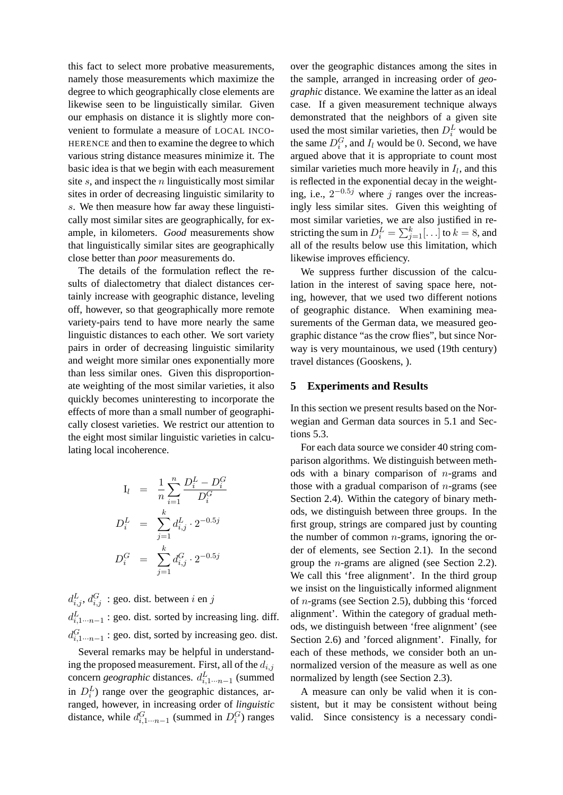this fact to select more probative measurements, namely those measurements which maximize the degree to which geographically close elements are likewise seen to be linguistically similar. Given our emphasis on distance it is slightly more convenient to formulate a measure of LOCAL INCO-HERENCE and then to examine the degree to which various string distance measures minimize it. The basic idea is that we begin with each measurement site  $s$ , and inspect the  $n$  linguistically most similar sites in order of decreasing linguistic similarity to s. We then measure how far away these linguistically most similar sites are geographically, for example, in kilometers. *Good* measurements show that linguistically similar sites are geographically close better than *poor* measurements do.

The details of the formulation reflect the results of dialectometry that dialect distances certainly increase with geographic distance, leveling off, however, so that geographically more remote variety-pairs tend to have more nearly the same linguistic distances to each other. We sort variety pairs in order of decreasing linguistic similarity and weight more similar ones exponentially more than less similar ones. Given this disproportionate weighting of the most similar varieties, it also quickly becomes uninteresting to incorporate the effects of more than a small number of geographically closest varieties. We restrict our attention to the eight most similar linguistic varieties in calculating local incoherence.

$$
I_l = \frac{1}{n} \sum_{i=1}^n \frac{D_i^L - D_i^G}{D_i^G}
$$
  

$$
D_i^L = \sum_{j=1}^k d_{i,j}^L \cdot 2^{-0.5j}
$$
  

$$
D_i^G = \sum_{j=1}^k d_{i,j}^G \cdot 2^{-0.5j}
$$

 $d_{i,j}^L$ ,  $d_{i,j}^G$ : geo. dist. between *i* en *j*  $d_{i,1\cdots n-1}^L$ : geo. dist. sorted by increasing ling. diff.  $d_{i,1\cdots n-1}^G$ : geo. dist, sorted by increasing geo. dist.

Several remarks may be helpful in understanding the proposed measurement. First, all of the  $d_{i,j}$ concern *geographic* distances.  $d_{i,1\cdots n-1}^L$  (summed in  $D_i^L$ ) range over the geographic distances, arranged, however, in increasing order of *linguistic* distance, while  $d_{i,1\cdots n-1}^G$  (summed in  $D_i^G$ ) ranges

over the geographic distances among the sites in the sample, arranged in increasing order of *geographic* distance. We examine the latter as an ideal case. If a given measurement technique always demonstrated that the neighbors of a given site used the most similar varieties, then  $D_i^L$  would be the same  $D_i^G$ , and  $I_l$  would be 0. Second, we have argued above that it is appropriate to count most similar varieties much more heavily in  $I_l$ , and this is reflected in the exponential decay in the weighting, i.e.,  $2^{-0.5j}$  where j ranges over the increasingly less similar sites. Given this weighting of most similar varieties, we are also justified in restricting the sum in  $D_i^L = \sum_{j=1}^k [\ldots]$  to  $k = 8$ , and all of the results below use this limitation, which likewise improves efficiency.

We suppress further discussion of the calculation in the interest of saving space here, noting, however, that we used two different notions of geographic distance. When examining measurements of the German data, we measured geographic distance "as the crow flies", but since Norway is very mountainous, we used (19th century) travel distances (Gooskens, ).

#### **5 Experiments and Results**

In this section we present results based on the Norwegian and German data sources in 5.1 and Sections 5.3.

For each data source we consider 40 string comparison algorithms. We distinguish between methods with a binary comparison of  $n$ -grams and those with a gradual comparison of  $n$ -grams (see Section 2.4). Within the category of binary methods, we distinguish between three groups. In the first group, strings are compared just by counting the number of common  $n$ -grams, ignoring the order of elements, see Section 2.1). In the second group the n-grams are aligned (see Section 2.2). We call this 'free alignment'. In the third group we insist on the linguistically informed alignment of n-grams (see Section 2.5), dubbing this 'forced alignment'. Within the category of gradual methods, we distinguish between 'free alignment' (see Section 2.6) and 'forced alignment'. Finally, for each of these methods, we consider both an unnormalized version of the measure as well as one normalized by length (see Section 2.3).

A measure can only be valid when it is consistent, but it may be consistent without being valid. Since consistency is a necessary condi-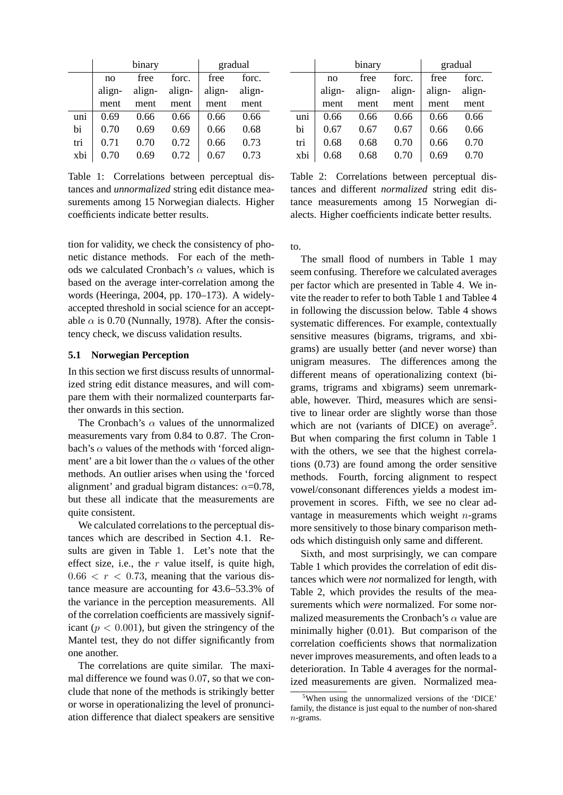|     | binary |        |        |        | gradual |
|-----|--------|--------|--------|--------|---------|
|     | no     | free   | forc.  | free   | forc.   |
|     | align- | align- | align- | align- | align-  |
|     | ment   | ment   | ment   | ment   | ment    |
| uni | 0.69   | 0.66   | 0.66   | 0.66   | 0.66    |
| bi  | 0.70   | 0.69   | 0.69   | 0.66   | 0.68    |
| tri | 0.71   | 0.70   | 0.72   | 0.66   | 0.73    |
| xbi | 0.70   | 0.69   | 0.72   | 0.67   | 0.73    |

Table 1: Correlations between perceptual distances and *unnormalized* string edit distance measurements among 15 Norwegian dialects. Higher coefficients indicate better results.

tion for validity, we check the consistency of phonetic distance methods. For each of the methods we calculated Cronbach's  $\alpha$  values, which is based on the average inter-correlation among the words (Heeringa, 2004, pp. 170–173). A widelyaccepted threshold in social science for an acceptable  $\alpha$  is 0.70 (Nunnally, 1978). After the consistency check, we discuss validation results.

### **5.1 Norwegian Perception**

In this section we first discuss results of unnormalized string edit distance measures, and will compare them with their normalized counterparts farther onwards in this section.

The Cronbach's  $\alpha$  values of the unnormalized measurements vary from 0.84 to 0.87. The Cronbach's  $\alpha$  values of the methods with 'forced alignment' are a bit lower than the  $\alpha$  values of the other methods. An outlier arises when using the 'forced alignment' and gradual bigram distances:  $\alpha$ =0.78, but these all indicate that the measurements are quite consistent.

We calculated correlations to the perceptual distances which are described in Section 4.1. Results are given in Table 1. Let's note that the effect size, i.e., the  $r$  value itself, is quite high,  $0.66 < r < 0.73$ , meaning that the various distance measure are accounting for 43.6–53.3% of the variance in the perception measurements. All of the correlation coefficients are massively significant ( $p < 0.001$ ), but given the stringency of the Mantel test, they do not differ significantly from one another.

The correlations are quite similar. The maximal difference we found was 0.07, so that we conclude that none of the methods is strikingly better or worse in operationalizing the level of pronunciation difference that dialect speakers are sensitive

|     | binary |        |        |        | gradual |
|-----|--------|--------|--------|--------|---------|
|     | no     | free   | forc.  | free   | forc.   |
|     | align- | align- | align- | align- | align-  |
|     | ment   | ment   | ment   | ment   | ment    |
| uni | 0.66   | 0.66   | 0.66   | 0.66   | 0.66    |
| bi  | 0.67   | 0.67   | 0.67   | 0.66   | 0.66    |
| tri | 0.68   | 0.68   | 0.70   | 0.66   | 0.70    |
| xbi | 0.68   | 0.68   | 0.70   | 0.69   | 0.70    |

Table 2: Correlations between perceptual distances and different *normalized* string edit distance measurements among 15 Norwegian dialects. Higher coefficients indicate better results.

to.

The small flood of numbers in Table 1 may seem confusing. Therefore we calculated averages per factor which are presented in Table 4. We invite the reader to refer to both Table 1 and Tablee 4 in following the discussion below. Table 4 shows systematic differences. For example, contextually sensitive measures (bigrams, trigrams, and xbigrams) are usually better (and never worse) than unigram measures. The differences among the different means of operationalizing context (bigrams, trigrams and xbigrams) seem unremarkable, however. Third, measures which are sensitive to linear order are slightly worse than those which are not (variants of DICE) on average<sup>5</sup>. But when comparing the first column in Table 1 with the others, we see that the highest correlations (0.73) are found among the order sensitive methods. Fourth, forcing alignment to respect vowel/consonant differences yields a modest improvement in scores. Fifth, we see no clear advantage in measurements which weight  $n$ -grams more sensitively to those binary comparison methods which distinguish only same and different.

Sixth, and most surprisingly, we can compare Table 1 which provides the correlation of edit distances which were *not* normalized for length, with Table 2, which provides the results of the measurements which *were* normalized. For some normalized measurements the Cronbach's  $\alpha$  value are minimally higher (0.01). But comparison of the correlation coefficients shows that normalization never improves measurements, and often leads to a deterioration. In Table 4 averages for the normalized measurements are given. Normalized mea-

<sup>5</sup>When using the unnormalized versions of the 'DICE' family, the distance is just equal to the number of non-shared n-grams.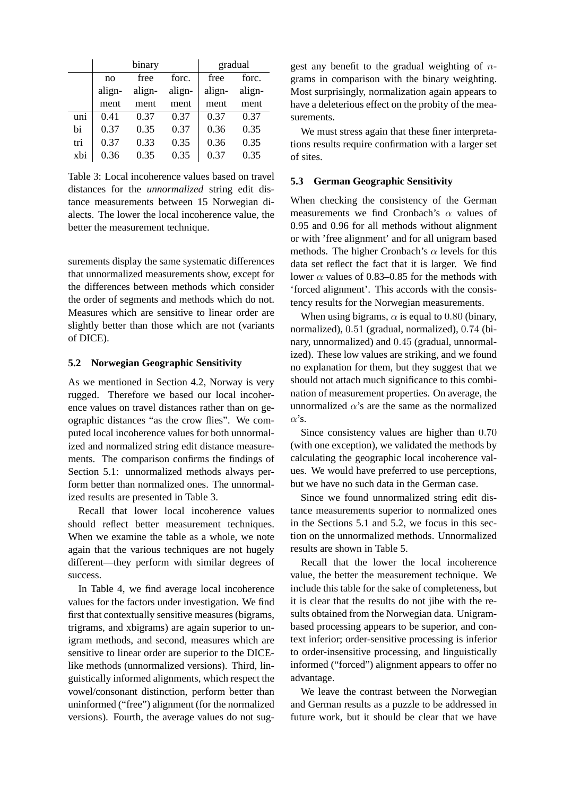|     | binary |        |        |        | gradual |
|-----|--------|--------|--------|--------|---------|
|     | no     | free   | forc.  | free   | forc.   |
|     | align- | align- | align- | align- | align-  |
|     | ment   | ment   | ment   | ment   | ment    |
| uni | 0.41   | 0.37   | 0.37   | 0.37   | 0.37    |
| bi  | 0.37   | 0.35   | 0.37   | 0.36   | 0.35    |
| tri | 0.37   | 0.33   | 0.35   | 0.36   | 0.35    |
| xbi | 0.36   | 0.35   | 0.35   | 0.37   | 0.35    |

Table 3: Local incoherence values based on travel distances for the *unnormalized* string edit distance measurements between 15 Norwegian dialects. The lower the local incoherence value, the better the measurement technique.

surements display the same systematic differences that unnormalized measurements show, except for the differences between methods which consider the order of segments and methods which do not. Measures which are sensitive to linear order are slightly better than those which are not (variants of DICE).

#### **5.2 Norwegian Geographic Sensitivity**

As we mentioned in Section 4.2, Norway is very rugged. Therefore we based our local incoherence values on travel distances rather than on geographic distances "as the crow flies". We computed local incoherence values for both unnormalized and normalized string edit distance measurements. The comparison confirms the findings of Section 5.1: unnormalized methods always perform better than normalized ones. The unnormalized results are presented in Table 3.

Recall that lower local incoherence values should reflect better measurement techniques. When we examine the table as a whole, we note again that the various techniques are not hugely different—they perform with similar degrees of success.

In Table 4, we find average local incoherence values for the factors under investigation. We find first that contextually sensitive measures (bigrams, trigrams, and xbigrams) are again superior to unigram methods, and second, measures which are sensitive to linear order are superior to the DICElike methods (unnormalized versions). Third, linguistically informed alignments, which respect the vowel/consonant distinction, perform better than uninformed ("free") alignment (for the normalized versions). Fourth, the average values do not suggest any benefit to the gradual weighting of  $n$ grams in comparison with the binary weighting. Most surprisingly, normalization again appears to have a deleterious effect on the probity of the measurements.

We must stress again that these finer interpretations results require confirmation with a larger set of sites.

### **5.3 German Geographic Sensitivity**

When checking the consistency of the German measurements we find Cronbach's  $\alpha$  values of 0.95 and 0.96 for all methods without alignment or with 'free alignment' and for all unigram based methods. The higher Cronbach's  $\alpha$  levels for this data set reflect the fact that it is larger. We find lower  $\alpha$  values of 0.83–0.85 for the methods with 'forced alignment'. This accords with the consistency results for the Norwegian measurements.

When using bigrams,  $\alpha$  is equal to 0.80 (binary, normalized), 0.51 (gradual, normalized), 0.74 (binary, unnormalized) and 0.45 (gradual, unnormalized). These low values are striking, and we found no explanation for them, but they suggest that we should not attach much significance to this combination of measurement properties. On average, the unnormalized  $\alpha$ 's are the same as the normalized  $\alpha$ 's.

Since consistency values are higher than 0.70 (with one exception), we validated the methods by calculating the geographic local incoherence values. We would have preferred to use perceptions, but we have no such data in the German case.

Since we found unnormalized string edit distance measurements superior to normalized ones in the Sections 5.1 and 5.2, we focus in this section on the unnormalized methods. Unnormalized results are shown in Table 5.

Recall that the lower the local incoherence value, the better the measurement technique. We include this table for the sake of completeness, but it is clear that the results do not jibe with the results obtained from the Norwegian data. Unigrambased processing appears to be superior, and context inferior; order-sensitive processing is inferior to order-insensitive processing, and linguistically informed ("forced") alignment appears to offer no advantage.

We leave the contrast between the Norwegian and German results as a puzzle to be addressed in future work, but it should be clear that we have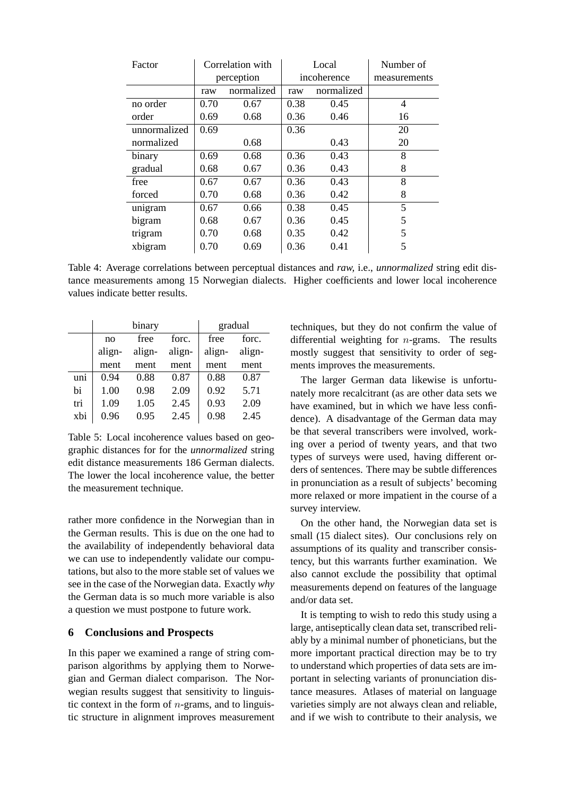| Factor       | Correlation with |            | Local       |            | Number of      |
|--------------|------------------|------------|-------------|------------|----------------|
|              | perception       |            | incoherence |            | measurements   |
|              | raw              | normalized | raw         | normalized |                |
| no order     | 0.70             | 0.67       | 0.38        | 0.45       | $\overline{4}$ |
| order        | 0.69             | 0.68       | 0.36        | 0.46       | 16             |
| unnormalized | 0.69             |            | 0.36        |            | 20             |
| normalized   |                  | 0.68       |             | 0.43       | 20             |
| binary       | 0.69             | 0.68       | 0.36        | 0.43       | 8              |
| gradual      | 0.68             | 0.67       | 0.36        | 0.43       | 8              |
| free         | 0.67             | 0.67       | 0.36        | 0.43       | 8              |
| forced       | 0.70             | 0.68       | 0.36        | 0.42       | 8              |
| unigram      | 0.67             | 0.66       | 0.38        | 0.45       | 5              |
| bigram       | 0.68             | 0.67       | 0.36        | 0.45       | 5              |
| trigram      | 0.70             | 0.68       | 0.35        | 0.42       | 5              |
| xbigram      | 0.70             | 0.69       | 0.36        | 0.41       | 5              |

Table 4: Average correlations between perceptual distances and *raw,* i.e., *unnormalized* string edit distance measurements among 15 Norwegian dialects. Higher coefficients and lower local incoherence values indicate better results.

|     |        | binary | gradual |        |        |
|-----|--------|--------|---------|--------|--------|
|     | no     | free   | forc.   | free   | forc.  |
|     | align- | align- | align-  | align- | align- |
|     | ment   | ment   | ment    | ment   | ment   |
| uni | 0.94   | 0.88   | 0.87    | 0.88   | 0.87   |
| bi  | 1.00   | 0.98   | 2.09    | 0.92   | 5.71   |
| tri | 1.09   | 1.05   | 2.45    | 0.93   | 2.09   |
| xbi | 0.96   | 0.95   | 2.45    | 0.98   | 2.45   |

Table 5: Local incoherence values based on geographic distances for for the *unnormalized* string edit distance measurements 186 German dialects. The lower the local incoherence value, the better the measurement technique.

rather more confidence in the Norwegian than in the German results. This is due on the one had to the availability of independently behavioral data we can use to independently validate our computations, but also to the more stable set of values we see in the case of the Norwegian data. Exactly *why* the German data is so much more variable is also a question we must postpone to future work.

### **6 Conclusions and Prospects**

In this paper we examined a range of string comparison algorithms by applying them to Norwegian and German dialect comparison. The Norwegian results suggest that sensitivity to linguistic context in the form of  $n$ -grams, and to linguistic structure in alignment improves measurement techniques, but they do not confirm the value of differential weighting for n-grams. The results mostly suggest that sensitivity to order of segments improves the measurements.

The larger German data likewise is unfortunately more recalcitrant (as are other data sets we have examined, but in which we have less confidence). A disadvantage of the German data may be that several transcribers were involved, working over a period of twenty years, and that two types of surveys were used, having different orders of sentences. There may be subtle differences in pronunciation as a result of subjects' becoming more relaxed or more impatient in the course of a survey interview.

On the other hand, the Norwegian data set is small (15 dialect sites). Our conclusions rely on assumptions of its quality and transcriber consistency, but this warrants further examination. We also cannot exclude the possibility that optimal measurements depend on features of the language and/or data set.

It is tempting to wish to redo this study using a large, antiseptically clean data set, transcribed reliably by a minimal number of phoneticians, but the more important practical direction may be to try to understand which properties of data sets are important in selecting variants of pronunciation distance measures. Atlases of material on language varieties simply are not always clean and reliable, and if we wish to contribute to their analysis, we